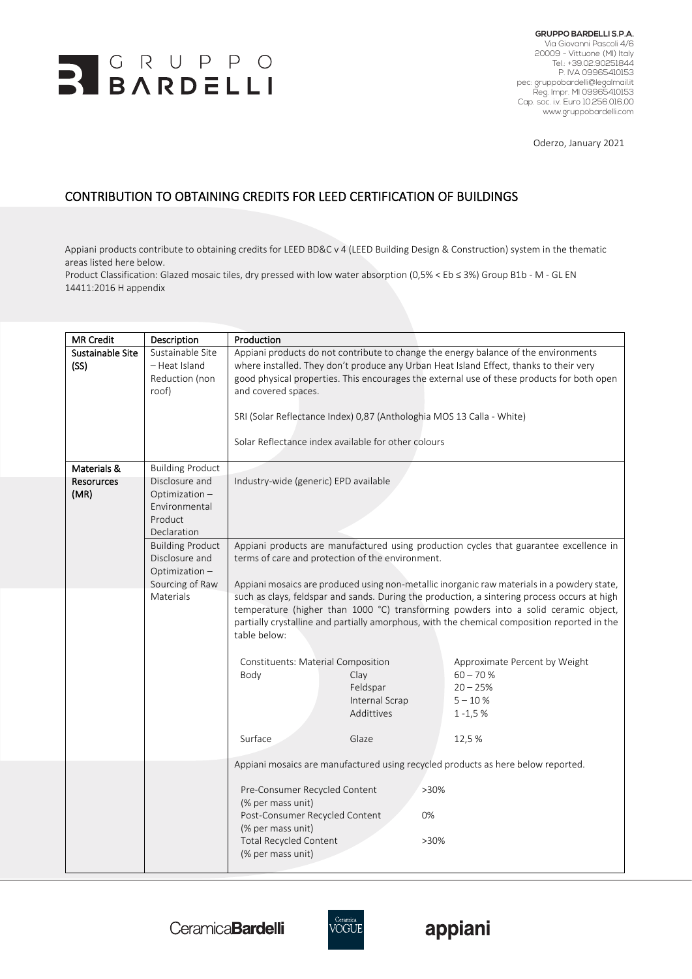

**GRUPPO BARDELLI S.P.A.** Via Giovanni Pascoli 4/6 20009 - Vittuone (MI) Italy Tel.: +39.02.90251844 P. IVA 09965410153 pec: gruppobardelli@legalmail.it Reg. Impr. MI 09965410153 Cap. soc. i.v. Euro 10.256.016,00 www.gruppobardelli.com

Oderzo, January 2021

## CONTRIBUTION TO OBTAINING CREDITS FOR LEED CERTIFICATION OF BUILDINGS

Appiani products contribute to obtaining credits for LEED BD&C v 4 (LEED Building Design & Construction) system in the thematic areas listed here below.

Product Classification: Glazed mosaic tiles, dry pressed with low water absorption (0,5% < Eb ≤ 3%) Group B1b - M - GL EN 14411:2016 H appendix

| <b>MR Credit</b>                         | Description                                                                                           | Production                                                                                                                                                                                                                                                                                                                                                                                                                                                                                                                                                                                                                                                                                                                                                                       |
|------------------------------------------|-------------------------------------------------------------------------------------------------------|----------------------------------------------------------------------------------------------------------------------------------------------------------------------------------------------------------------------------------------------------------------------------------------------------------------------------------------------------------------------------------------------------------------------------------------------------------------------------------------------------------------------------------------------------------------------------------------------------------------------------------------------------------------------------------------------------------------------------------------------------------------------------------|
| Sustainable Site<br>(SS)                 | Sustainable Site<br>- Heat Island<br>Reduction (non<br>roof)                                          | Appiani products do not contribute to change the energy balance of the environments<br>where installed. They don't produce any Urban Heat Island Effect, thanks to their very<br>good physical properties. This encourages the external use of these products for both open<br>and covered spaces.<br>SRI (Solar Reflectance Index) 0,87 (Anthologhia MOS 13 Calla - White)                                                                                                                                                                                                                                                                                                                                                                                                      |
|                                          |                                                                                                       | Solar Reflectance index available for other colours                                                                                                                                                                                                                                                                                                                                                                                                                                                                                                                                                                                                                                                                                                                              |
| Materials &<br><b>Resorurces</b><br>(MR) | <b>Building Product</b><br>Disclosure and<br>Optimization-<br>Environmental<br>Product<br>Declaration | Industry-wide (generic) EPD available                                                                                                                                                                                                                                                                                                                                                                                                                                                                                                                                                                                                                                                                                                                                            |
|                                          | <b>Building Product</b><br>Disclosure and<br>Optimization-<br>Sourcing of Raw<br>Materials            | Appiani products are manufactured using production cycles that guarantee excellence in<br>terms of care and protection of the environment.<br>Appiani mosaics are produced using non-metallic inorganic raw materials in a powdery state,<br>such as clays, feldspar and sands. During the production, a sintering process occurs at high<br>temperature (higher than 1000 °C) transforming powders into a solid ceramic object,<br>partially crystalline and partially amorphous, with the chemical composition reported in the<br>table below:<br><b>Constituents: Material Composition</b><br>Approximate Percent by Weight<br>$60 - 70%$<br>Body<br>Clay<br>Feldspar<br>$20 - 25%$<br>Internal Scrap<br>$5 - 10%$<br>Addittives<br>$1 - 1,5 %$<br>Surface<br>Glaze<br>12,5 % |
|                                          |                                                                                                       | Appiani mosaics are manufactured using recycled products as here below reported.<br>Pre-Consumer Recycled Content<br>$>30\%$<br>(% per mass unit)<br>Post-Consumer Recycled Content<br>0%<br>(% per mass unit)<br><b>Total Recycled Content</b><br>$>30\%$<br>(% per mass unit)                                                                                                                                                                                                                                                                                                                                                                                                                                                                                                  |